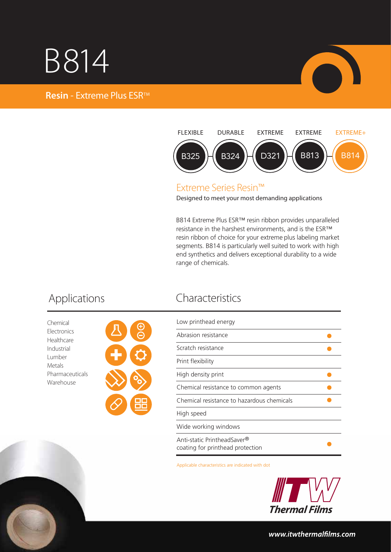## B814





### Extreme Series Resin™

Designed to meet your most demanding applications

B814 Extreme Plus ESR™ resin ribbon provides unparalleled resistance in the harshest environments, and is the ESR™ resin ribbon of choice for your extreme plus labeling market segments. B814 is particularly well suited to work with high end synthetics and delivers exceptional durability to a wide range of chemicals.

Chemical Electronics Healthcare Industrial Lumber Metals Pharmaceuticals Warehouse



## Applications Characteristics

| Low printhead energy                                            |  |
|-----------------------------------------------------------------|--|
| Abrasion resistance                                             |  |
| Scratch resistance                                              |  |
| Print flexibility                                               |  |
| High density print                                              |  |
| Chemical resistance to common agents                            |  |
| Chemical resistance to hazardous chemicals                      |  |
| High speed                                                      |  |
| Wide working windows                                            |  |
| Anti-static PrintheadSaver®<br>coating for printhead protection |  |

Applicable characteristics are indicated with dot